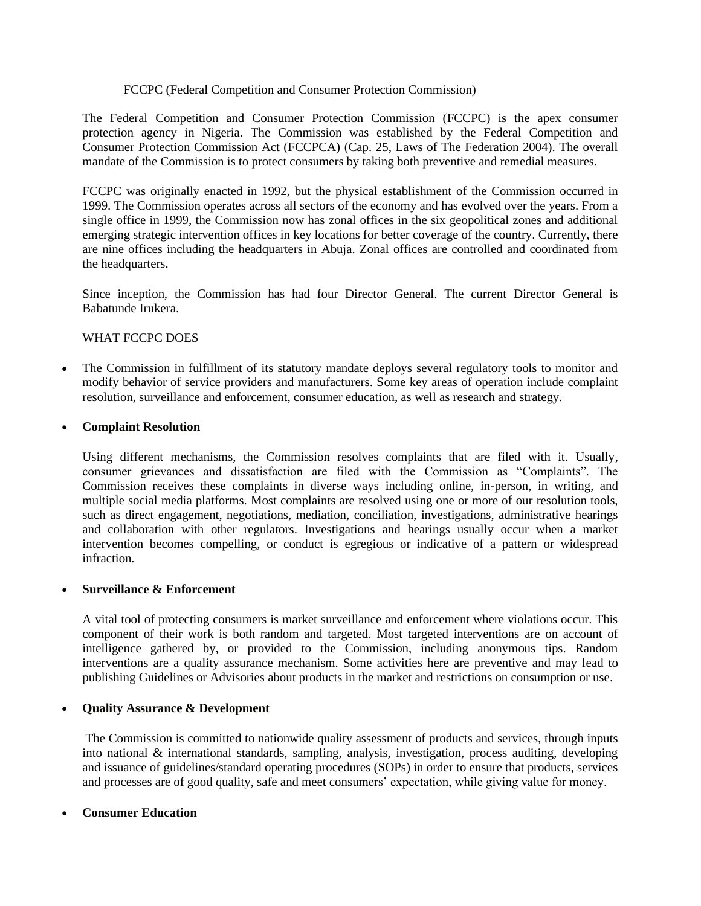#### FCCPC (Federal Competition and Consumer Protection Commission)

The Federal Competition and Consumer Protection Commission (FCCPC) is the apex consumer protection agency in Nigeria. The Commission was established by the Federal Competition and Consumer Protection Commission Act (FCCPCA) (Cap. 25, Laws of The Federation 2004). The overall mandate of the Commission is to protect consumers by taking both preventive and remedial measures.

FCCPC was originally enacted in 1992, but the physical establishment of the Commission occurred in 1999. The Commission operates across all sectors of the economy and has evolved over the years. From a single office in 1999, the Commission now has zonal offices in the six geopolitical zones and additional emerging strategic intervention offices in key locations for better coverage of the country. Currently, there are nine offices including the headquarters in Abuja. Zonal offices are controlled and coordinated from the headquarters.

Since inception, the Commission has had four Director General. The current Director General is Babatunde Irukera.

### WHAT FCCPC DOES

• The Commission in fulfillment of its statutory mandate deploys several regulatory tools to monitor and modify behavior of service providers and manufacturers. Some key areas of operation include complaint resolution, surveillance and enforcement, consumer education, as well as research and strategy.

#### • **Complaint Resolution**

Using different mechanisms, the Commission resolves complaints that are filed with it. Usually, consumer grievances and dissatisfaction are filed with the Commission as "Complaints". The Commission receives these complaints in diverse ways including online, in-person, in writing, and multiple social media platforms. Most complaints are resolved using one or more of our resolution tools, such as direct engagement, negotiations, mediation, conciliation, investigations, administrative hearings and collaboration with other regulators. Investigations and hearings usually occur when a market intervention becomes compelling, or conduct is egregious or indicative of a pattern or widespread infraction.

#### • **Surveillance & Enforcement**

A vital tool of protecting consumers is market surveillance and enforcement where violations occur. This component of their work is both random and targeted. Most targeted interventions are on account of intelligence gathered by, or provided to the Commission, including anonymous tips. Random interventions are a quality assurance mechanism. Some activities here are preventive and may lead to publishing Guidelines or Advisories about products in the market and restrictions on consumption or use.

### • **Quality Assurance & Development**

The Commission is committed to nationwide quality assessment of products and services, through inputs into national & international standards, sampling, analysis, investigation, process auditing, developing and issuance of guidelines/standard operating procedures (SOPs) in order to ensure that products, services and processes are of good quality, safe and meet consumers' expectation, while giving value for money.

### • **Consumer Education**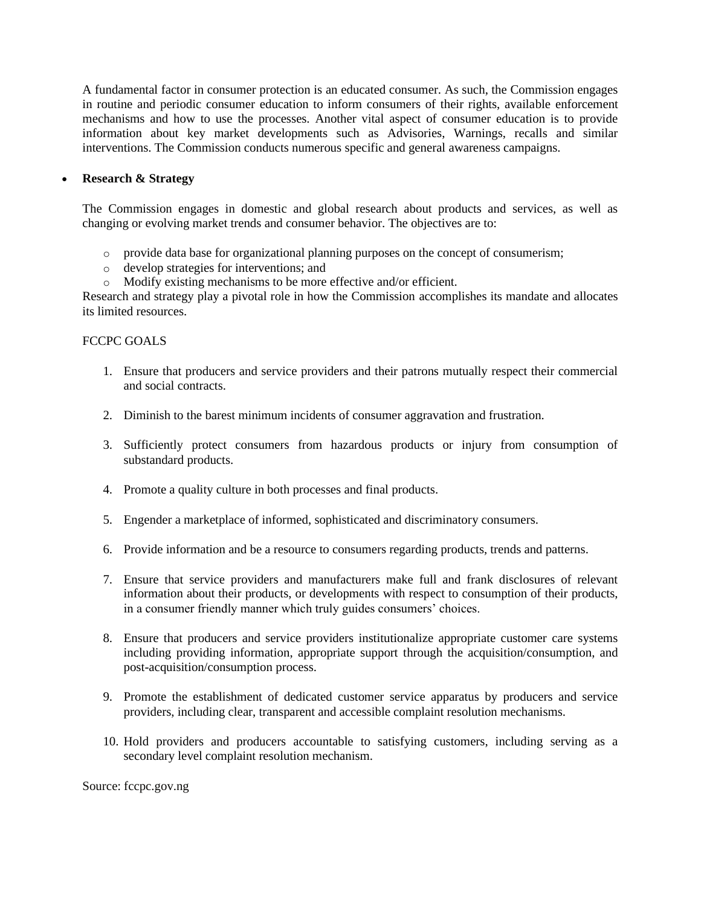A fundamental factor in consumer protection is an educated consumer. As such, the Commission engages in routine and periodic consumer education to inform consumers of their rights, available enforcement mechanisms and how to use the processes. Another vital aspect of consumer education is to provide information about key market developments such as Advisories, Warnings, recalls and similar interventions. The Commission conducts numerous specific and general awareness campaigns.

### • **Research & Strategy**

The Commission engages in domestic and global research about products and services, as well as changing or evolving market trends and consumer behavior. The objectives are to:

- o provide data base for organizational planning purposes on the concept of consumerism;
- o develop strategies for interventions; and
- o Modify existing mechanisms to be more effective and/or efficient.

Research and strategy play a pivotal role in how the Commission accomplishes its mandate and allocates its limited resources.

### FCCPC GOALS

- 1. Ensure that producers and service providers and their patrons mutually respect their commercial and social contracts.
- 2. Diminish to the barest minimum incidents of consumer aggravation and frustration.
- 3. Sufficiently protect consumers from hazardous products or injury from consumption of substandard products.
- 4. Promote a quality culture in both processes and final products.
- 5. Engender a marketplace of informed, sophisticated and discriminatory consumers.
- 6. Provide information and be a resource to consumers regarding products, trends and patterns.
- 7. Ensure that service providers and manufacturers make full and frank disclosures of relevant information about their products, or developments with respect to consumption of their products, in a consumer friendly manner which truly guides consumers' choices.
- 8. Ensure that producers and service providers institutionalize appropriate customer care systems including providing information, appropriate support through the acquisition/consumption, and post-acquisition/consumption process.
- 9. Promote the establishment of dedicated customer service apparatus by producers and service providers, including clear, transparent and accessible complaint resolution mechanisms.
- 10. Hold providers and producers accountable to satisfying customers, including serving as a secondary level complaint resolution mechanism.

Source: fccpc.gov.ng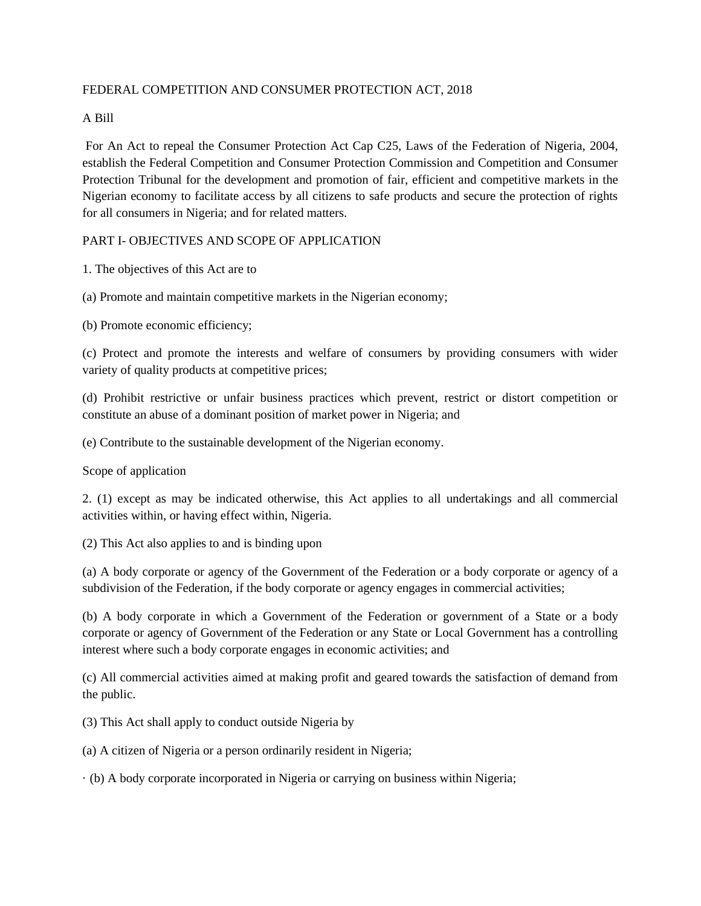### FEDERAL COMPETITION AND CONSUMER PROTECTION ACT, 2018

### A Bill

For An Act to repeal the Consumer Protection Act Cap C25, Laws of the Federation of Nigeria, 2004, establish the Federal Competition and Consumer Protection Commission and Competition and Consumer Protection Tribunal for the development and promotion of fair, efficient and competitive markets in the Nigerian economy to facilitate access by all citizens to safe products and secure the protection of rights for all consumers in Nigeria; and for related matters.

### PART I- OBJECTIVES AND SCOPE OF APPLICATION

1. The objectives of this Act are to

(a) Promote and maintain competitive markets in the Nigerian economy;

(b) Promote economic efficiency;

(c) Protect and promote the interests and welfare of consumers by providing consumers with wider variety of quality products at competitive prices;

(d) Prohibit restrictive or unfair business practices which prevent, restrict or distort competition or constitute an abuse of a dominant position of market power in Nigeria; and

(e) Contribute to the sustainable development of the Nigerian economy.

Scope of application

2. (1) except as may be indicated otherwise, this Act applies to all undertakings and all commercial activities within, or having effect within, Nigeria.

(2) This Act also applies to and is binding upon

(a) A body corporate or agency of the Government of the Federation or a body corporate or agency of a subdivision of the Federation, if the body corporate or agency engages in commercial activities;

(b) A body corporate in which a Government of the Federation or government of a State or a body corporate or agency of Government of the Federation or any State or Local Government has a controlling interest where such a body corporate engages in economic activities; and

(c) All commercial activities aimed at making profit and geared towards the satisfaction of demand from the public.

(3) This Act shall apply to conduct outside Nigeria by

(a) A citizen of Nigeria or a person ordinarily resident in Nigeria;

· (b) A body corporate incorporated in Nigeria or carrying on business within Nigeria;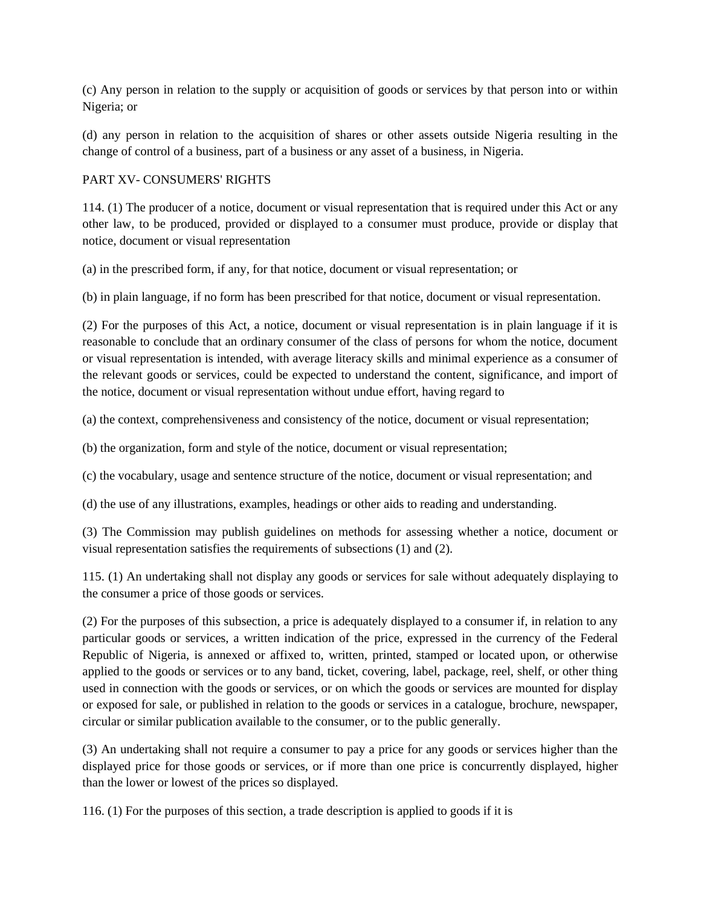(c) Any person in relation to the supply or acquisition of goods or services by that person into or within Nigeria; or

(d) any person in relation to the acquisition of shares or other assets outside Nigeria resulting in the change of control of a business, part of a business or any asset of a business, in Nigeria.

## PART XV- CONSUMERS' RIGHTS

114. (1) The producer of a notice, document or visual representation that is required under this Act or any other law, to be produced, provided or displayed to a consumer must produce, provide or display that notice, document or visual representation

(a) in the prescribed form, if any, for that notice, document or visual representation; or

(b) in plain language, if no form has been prescribed for that notice, document or visual representation.

(2) For the purposes of this Act, a notice, document or visual representation is in plain language if it is reasonable to conclude that an ordinary consumer of the class of persons for whom the notice, document or visual representation is intended, with average literacy skills and minimal experience as a consumer of the relevant goods or services, could be expected to understand the content, significance, and import of the notice, document or visual representation without undue effort, having regard to

(a) the context, comprehensiveness and consistency of the notice, document or visual representation;

(b) the organization, form and style of the notice, document or visual representation;

(c) the vocabulary, usage and sentence structure of the notice, document or visual representation; and

(d) the use of any illustrations, examples, headings or other aids to reading and understanding.

(3) The Commission may publish guidelines on methods for assessing whether a notice, document or visual representation satisfies the requirements of subsections (1) and (2).

115. (1) An undertaking shall not display any goods or services for sale without adequately displaying to the consumer a price of those goods or services.

(2) For the purposes of this subsection, a price is adequately displayed to a consumer if, in relation to any particular goods or services, a written indication of the price, expressed in the currency of the Federal Republic of Nigeria, is annexed or affixed to, written, printed, stamped or located upon, or otherwise applied to the goods or services or to any band, ticket, covering, label, package, reel, shelf, or other thing used in connection with the goods or services, or on which the goods or services are mounted for display or exposed for sale, or published in relation to the goods or services in a catalogue, brochure, newspaper, circular or similar publication available to the consumer, or to the public generally.

(3) An undertaking shall not require a consumer to pay a price for any goods or services higher than the displayed price for those goods or services, or if more than one price is concurrently displayed, higher than the lower or lowest of the prices so displayed.

116. (1) For the purposes of this section, a trade description is applied to goods if it is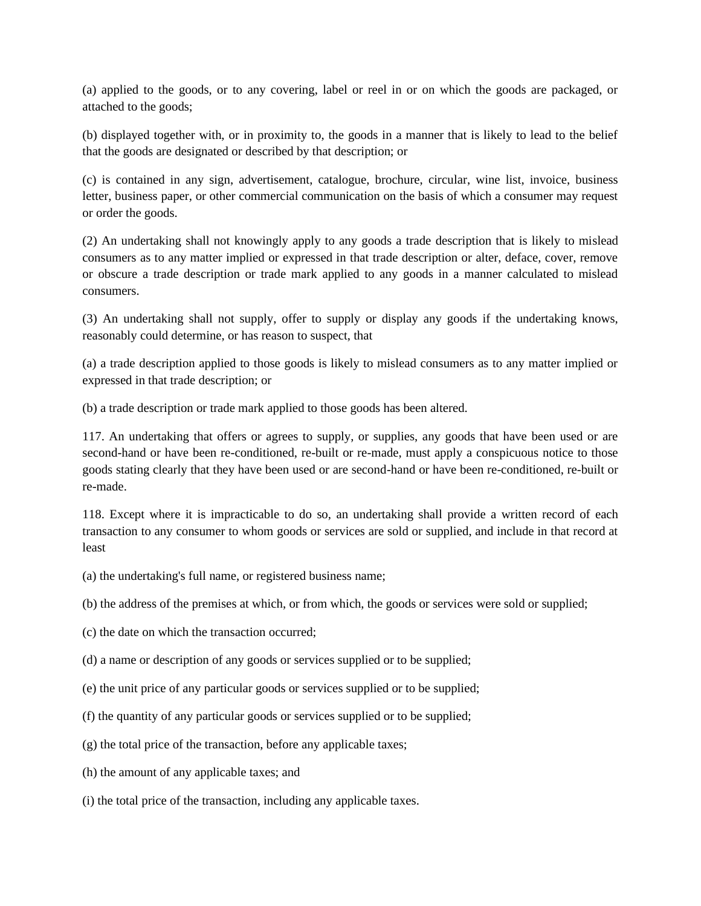(a) applied to the goods, or to any covering, label or reel in or on which the goods are packaged, or attached to the goods;

(b) displayed together with, or in proximity to, the goods in a manner that is likely to lead to the belief that the goods are designated or described by that description; or

(c) is contained in any sign, advertisement, catalogue, brochure, circular, wine list, invoice, business letter, business paper, or other commercial communication on the basis of which a consumer may request or order the goods.

(2) An undertaking shall not knowingly apply to any goods a trade description that is likely to mislead consumers as to any matter implied or expressed in that trade description or alter, deface, cover, remove or obscure a trade description or trade mark applied to any goods in a manner calculated to mislead consumers.

(3) An undertaking shall not supply, offer to supply or display any goods if the undertaking knows, reasonably could determine, or has reason to suspect, that

(a) a trade description applied to those goods is likely to mislead consumers as to any matter implied or expressed in that trade description; or

(b) a trade description or trade mark applied to those goods has been altered.

117. An undertaking that offers or agrees to supply, or supplies, any goods that have been used or are second-hand or have been re-conditioned, re-built or re-made, must apply a conspicuous notice to those goods stating clearly that they have been used or are second-hand or have been re-conditioned, re-built or re-made.

118. Except where it is impracticable to do so, an undertaking shall provide a written record of each transaction to any consumer to whom goods or services are sold or supplied, and include in that record at least

(a) the undertaking's full name, or registered business name;

(b) the address of the premises at which, or from which, the goods or services were sold or supplied;

- (c) the date on which the transaction occurred;
- (d) a name or description of any goods or services supplied or to be supplied;
- (e) the unit price of any particular goods or services supplied or to be supplied;
- (f) the quantity of any particular goods or services supplied or to be supplied;
- (g) the total price of the transaction, before any applicable taxes;
- (h) the amount of any applicable taxes; and
- (i) the total price of the transaction, including any applicable taxes.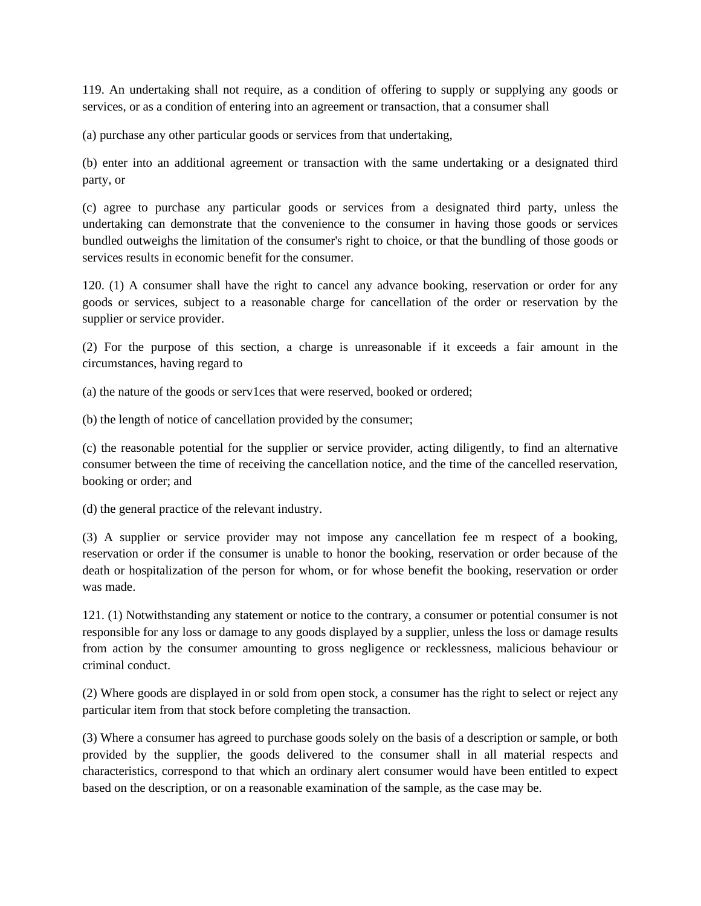119. An undertaking shall not require, as a condition of offering to supply or supplying any goods or services, or as a condition of entering into an agreement or transaction, that a consumer shall

(a) purchase any other particular goods or services from that undertaking,

(b) enter into an additional agreement or transaction with the same undertaking or a designated third party, or

(c) agree to purchase any particular goods or services from a designated third party, unless the undertaking can demonstrate that the convenience to the consumer in having those goods or services bundled outweighs the limitation of the consumer's right to choice, or that the bundling of those goods or services results in economic benefit for the consumer.

120. (1) A consumer shall have the right to cancel any advance booking, reservation or order for any goods or services, subject to a reasonable charge for cancellation of the order or reservation by the supplier or service provider.

(2) For the purpose of this section, a charge is unreasonable if it exceeds a fair amount in the circumstances, having regard to

(a) the nature of the goods or serv1ces that were reserved, booked or ordered;

(b) the length of notice of cancellation provided by the consumer;

(c) the reasonable potential for the supplier or service provider, acting diligently, to find an alternative consumer between the time of receiving the cancellation notice, and the time of the cancelled reservation, booking or order; and

(d) the general practice of the relevant industry.

(3) A supplier or service provider may not impose any cancellation fee m respect of a booking, reservation or order if the consumer is unable to honor the booking, reservation or order because of the death or hospitalization of the person for whom, or for whose benefit the booking, reservation or order was made.

121. (1) Notwithstanding any statement or notice to the contrary, a consumer or potential consumer is not responsible for any loss or damage to any goods displayed by a supplier, unless the loss or damage results from action by the consumer amounting to gross negligence or recklessness, malicious behaviour or criminal conduct.

(2) Where goods are displayed in or sold from open stock, a consumer has the right to select or reject any particular item from that stock before completing the transaction.

(3) Where a consumer has agreed to purchase goods solely on the basis of a description or sample, or both provided by the supplier, the goods delivered to the consumer shall in all material respects and characteristics, correspond to that which an ordinary alert consumer would have been entitled to expect based on the description, or on a reasonable examination of the sample, as the case may be.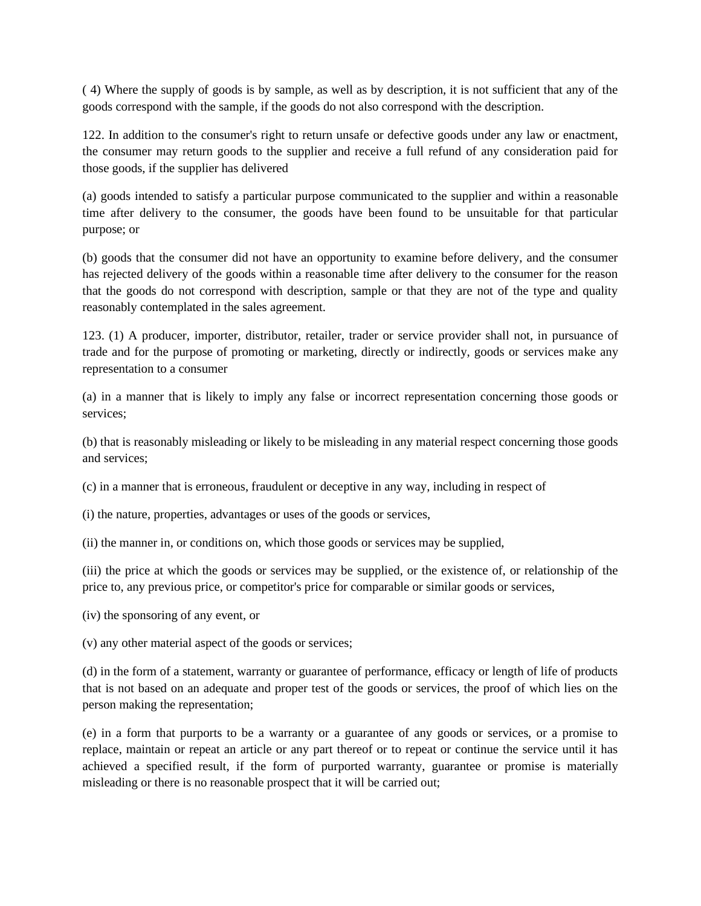( 4) Where the supply of goods is by sample, as well as by description, it is not sufficient that any of the goods correspond with the sample, if the goods do not also correspond with the description.

122. In addition to the consumer's right to return unsafe or defective goods under any law or enactment, the consumer may return goods to the supplier and receive a full refund of any consideration paid for those goods, if the supplier has delivered

(a) goods intended to satisfy a particular purpose communicated to the supplier and within a reasonable time after delivery to the consumer, the goods have been found to be unsuitable for that particular purpose; or

(b) goods that the consumer did not have an opportunity to examine before delivery, and the consumer has rejected delivery of the goods within a reasonable time after delivery to the consumer for the reason that the goods do not correspond with description, sample or that they are not of the type and quality reasonably contemplated in the sales agreement.

123. (1) A producer, importer, distributor, retailer, trader or service provider shall not, in pursuance of trade and for the purpose of promoting or marketing, directly or indirectly, goods or services make any representation to a consumer

(a) in a manner that is likely to imply any false or incorrect representation concerning those goods or services;

(b) that is reasonably misleading or likely to be misleading in any material respect concerning those goods and services;

(c) in a manner that is erroneous, fraudulent or deceptive in any way, including in respect of

(i) the nature, properties, advantages or uses of the goods or services,

(ii) the manner in, or conditions on, which those goods or services may be supplied,

(iii) the price at which the goods or services may be supplied, or the existence of, or relationship of the price to, any previous price, or competitor's price for comparable or similar goods or services,

(iv) the sponsoring of any event, or

(v) any other material aspect of the goods or services;

(d) in the form of a statement, warranty or guarantee of performance, efficacy or length of life of products that is not based on an adequate and proper test of the goods or services, the proof of which lies on the person making the representation;

(e) in a form that purports to be a warranty or a guarantee of any goods or services, or a promise to replace, maintain or repeat an article or any part thereof or to repeat or continue the service until it has achieved a specified result, if the form of purported warranty, guarantee or promise is materially misleading or there is no reasonable prospect that it will be carried out;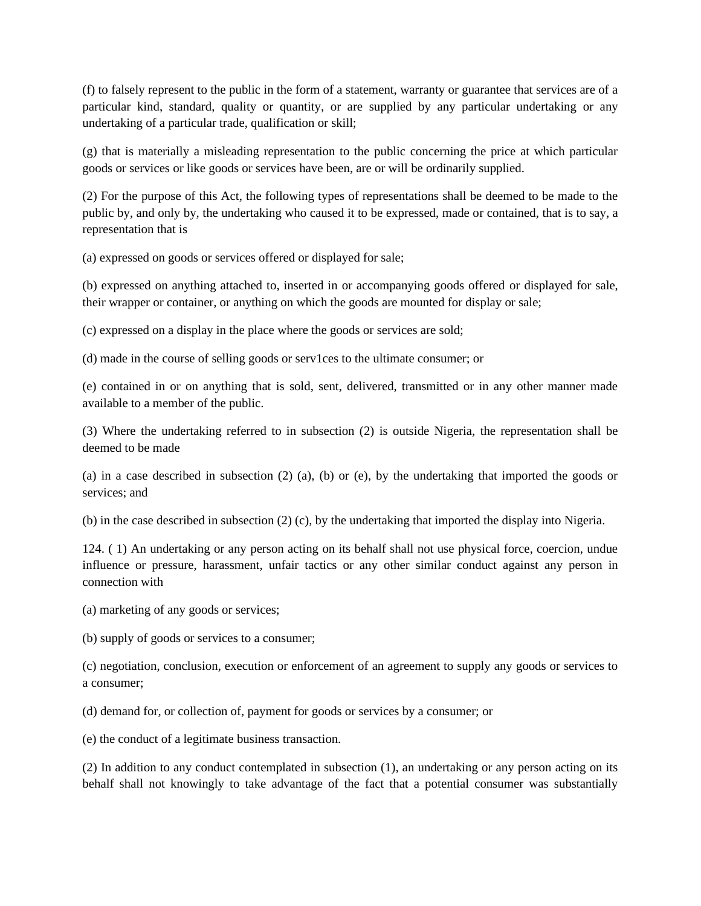(f) to falsely represent to the public in the form of a statement, warranty or guarantee that services are of a particular kind, standard, quality or quantity, or are supplied by any particular undertaking or any undertaking of a particular trade, qualification or skill;

(g) that is materially a misleading representation to the public concerning the price at which particular goods or services or like goods or services have been, are or will be ordinarily supplied.

(2) For the purpose of this Act, the following types of representations shall be deemed to be made to the public by, and only by, the undertaking who caused it to be expressed, made or contained, that is to say, a representation that is

(a) expressed on goods or services offered or displayed for sale;

(b) expressed on anything attached to, inserted in or accompanying goods offered or displayed for sale, their wrapper or container, or anything on which the goods are mounted for display or sale;

(c) expressed on a display in the place where the goods or services are sold;

(d) made in the course of selling goods or serv1ces to the ultimate consumer; or

(e) contained in or on anything that is sold, sent, delivered, transmitted or in any other manner made available to a member of the public.

(3) Where the undertaking referred to in subsection (2) is outside Nigeria, the representation shall be deemed to be made

(a) in a case described in subsection (2) (a), (b) or (e), by the undertaking that imported the goods or services; and

(b) in the case described in subsection (2) (c), by the undertaking that imported the display into Nigeria.

124. ( 1) An undertaking or any person acting on its behalf shall not use physical force, coercion, undue influence or pressure, harassment, unfair tactics or any other similar conduct against any person in connection with

(a) marketing of any goods or services;

(b) supply of goods or services to a consumer;

(c) negotiation, conclusion, execution or enforcement of an agreement to supply any goods or services to a consumer;

(d) demand for, or collection of, payment for goods or services by a consumer; or

(e) the conduct of a legitimate business transaction.

(2) In addition to any conduct contemplated in subsection (1), an undertaking or any person acting on its behalf shall not knowingly to take advantage of the fact that a potential consumer was substantially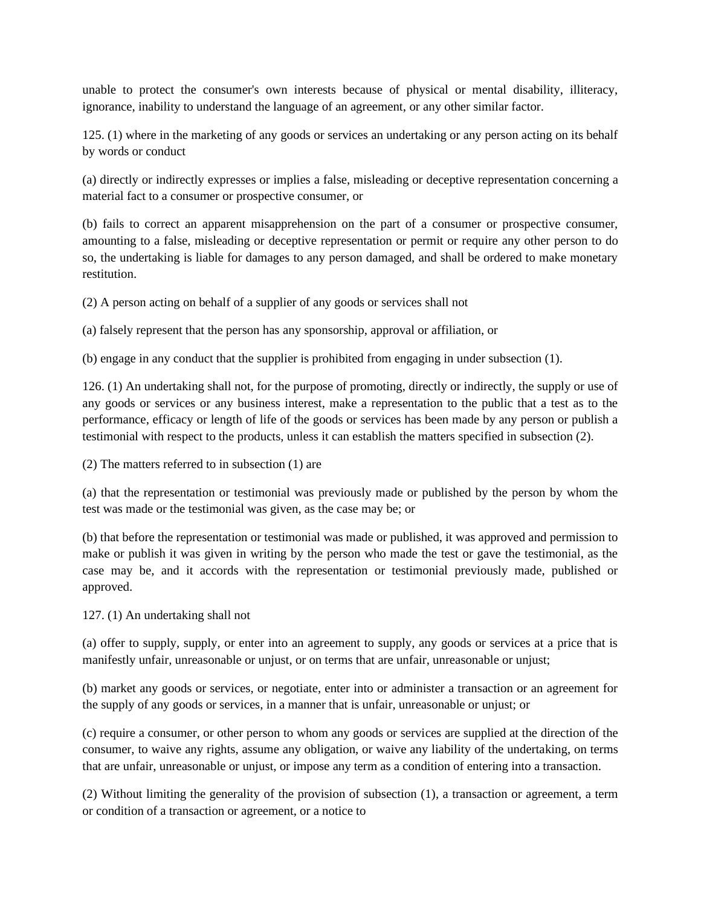unable to protect the consumer's own interests because of physical or mental disability, illiteracy, ignorance, inability to understand the language of an agreement, or any other similar factor.

125. (1) where in the marketing of any goods or services an undertaking or any person acting on its behalf by words or conduct

(a) directly or indirectly expresses or implies a false, misleading or deceptive representation concerning a material fact to a consumer or prospective consumer, or

(b) fails to correct an apparent misapprehension on the part of a consumer or prospective consumer, amounting to a false, misleading or deceptive representation or permit or require any other person to do so, the undertaking is liable for damages to any person damaged, and shall be ordered to make monetary restitution.

(2) A person acting on behalf of a supplier of any goods or services shall not

(a) falsely represent that the person has any sponsorship, approval or affiliation, or

(b) engage in any conduct that the supplier is prohibited from engaging in under subsection (1).

126. (1) An undertaking shall not, for the purpose of promoting, directly or indirectly, the supply or use of any goods or services or any business interest, make a representation to the public that a test as to the performance, efficacy or length of life of the goods or services has been made by any person or publish a testimonial with respect to the products, unless it can establish the matters specified in subsection (2).

(2) The matters referred to in subsection (1) are

(a) that the representation or testimonial was previously made or published by the person by whom the test was made or the testimonial was given, as the case may be; or

(b) that before the representation or testimonial was made or published, it was approved and permission to make or publish it was given in writing by the person who made the test or gave the testimonial, as the case may be, and it accords with the representation or testimonial previously made, published or approved.

127. (1) An undertaking shall not

(a) offer to supply, supply, or enter into an agreement to supply, any goods or services at a price that is manifestly unfair, unreasonable or unjust, or on terms that are unfair, unreasonable or unjust;

(b) market any goods or services, or negotiate, enter into or administer a transaction or an agreement for the supply of any goods or services, in a manner that is unfair, unreasonable or unjust; or

(c) require a consumer, or other person to whom any goods or services are supplied at the direction of the consumer, to waive any rights, assume any obligation, or waive any liability of the undertaking, on terms that are unfair, unreasonable or unjust, or impose any term as a condition of entering into a transaction.

(2) Without limiting the generality of the provision of subsection (1), a transaction or agreement, a term or condition of a transaction or agreement, or a notice to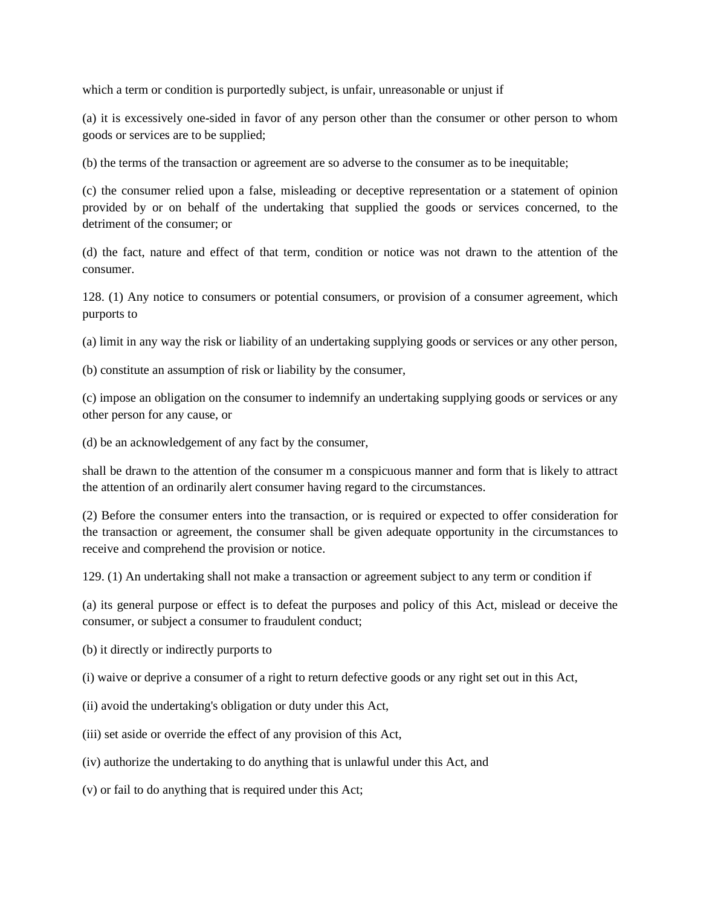which a term or condition is purportedly subject, is unfair, unreasonable or unjust if

(a) it is excessively one-sided in favor of any person other than the consumer or other person to whom goods or services are to be supplied;

(b) the terms of the transaction or agreement are so adverse to the consumer as to be inequitable;

(c) the consumer relied upon a false, misleading or deceptive representation or a statement of opinion provided by or on behalf of the undertaking that supplied the goods or services concerned, to the detriment of the consumer; or

(d) the fact, nature and effect of that term, condition or notice was not drawn to the attention of the consumer.

128. (1) Any notice to consumers or potential consumers, or provision of a consumer agreement, which purports to

(a) limit in any way the risk or liability of an undertaking supplying goods or services or any other person,

(b) constitute an assumption of risk or liability by the consumer,

(c) impose an obligation on the consumer to indemnify an undertaking supplying goods or services or any other person for any cause, or

(d) be an acknowledgement of any fact by the consumer,

shall be drawn to the attention of the consumer m a conspicuous manner and form that is likely to attract the attention of an ordinarily alert consumer having regard to the circumstances.

(2) Before the consumer enters into the transaction, or is required or expected to offer consideration for the transaction or agreement, the consumer shall be given adequate opportunity in the circumstances to receive and comprehend the provision or notice.

129. (1) An undertaking shall not make a transaction or agreement subject to any term or condition if

(a) its general purpose or effect is to defeat the purposes and policy of this Act, mislead or deceive the consumer, or subject a consumer to fraudulent conduct;

(b) it directly or indirectly purports to

(i) waive or deprive a consumer of a right to return defective goods or any right set out in this Act,

(ii) avoid the undertaking's obligation or duty under this Act,

(iii) set aside or override the effect of any provision of this Act,

(iv) authorize the undertaking to do anything that is unlawful under this Act, and

(v) or fail to do anything that is required under this Act;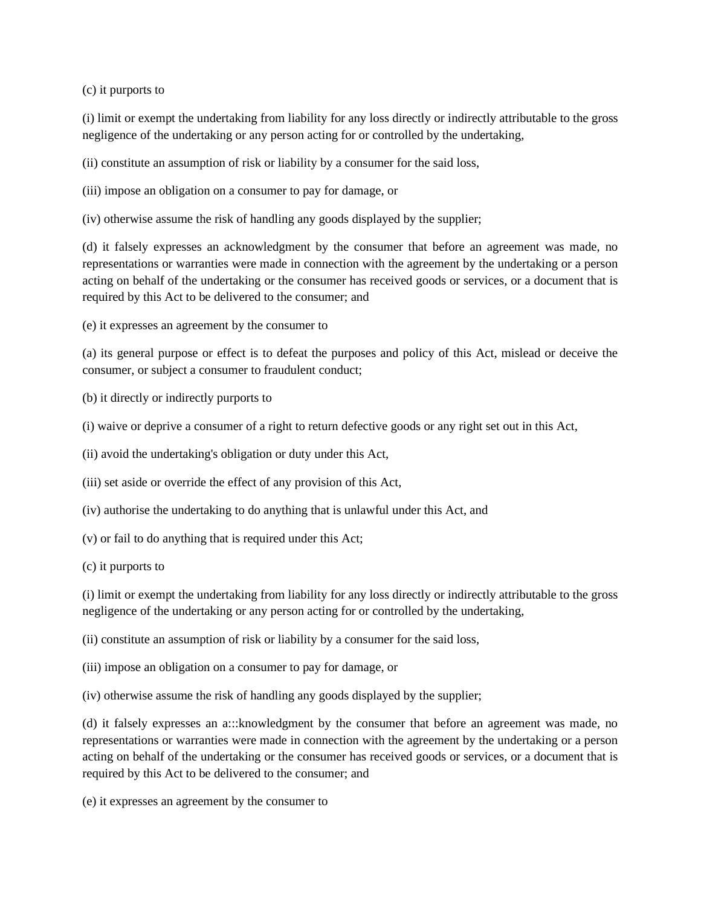(c) it purports to

(i) limit or exempt the undertaking from liability for any loss directly or indirectly attributable to the gross negligence of the undertaking or any person acting for or controlled by the undertaking,

(ii) constitute an assumption of risk or liability by a consumer for the said loss,

(iii) impose an obligation on a consumer to pay for damage, or

(iv) otherwise assume the risk of handling any goods displayed by the supplier;

(d) it falsely expresses an acknowledgment by the consumer that before an agreement was made, no representations or warranties were made in connection with the agreement by the undertaking or a person acting on behalf of the undertaking or the consumer has received goods or services, or a document that is required by this Act to be delivered to the consumer; and

(e) it expresses an agreement by the consumer to

(a) its general purpose or effect is to defeat the purposes and policy of this Act, mislead or deceive the consumer, or subject a consumer to fraudulent conduct;

- (b) it directly or indirectly purports to
- (i) waive or deprive a consumer of a right to return defective goods or any right set out in this Act,

(ii) avoid the undertaking's obligation or duty under this Act,

(iii) set aside or override the effect of any provision of this Act,

- (iv) authorise the undertaking to do anything that is unlawful under this Act, and
- (v) or fail to do anything that is required under this Act;
- (c) it purports to

(i) limit or exempt the undertaking from liability for any loss directly or indirectly attributable to the gross negligence of the undertaking or any person acting for or controlled by the undertaking,

(ii) constitute an assumption of risk or liability by a consumer for the said loss,

- (iii) impose an obligation on a consumer to pay for damage, or
- (iv) otherwise assume the risk of handling any goods displayed by the supplier;

(d) it falsely expresses an a:::knowledgment by the consumer that before an agreement was made, no representations or warranties were made in connection with the agreement by the undertaking or a person acting on behalf of the undertaking or the consumer has received goods or services, or a document that is required by this Act to be delivered to the consumer; and

(e) it expresses an agreement by the consumer to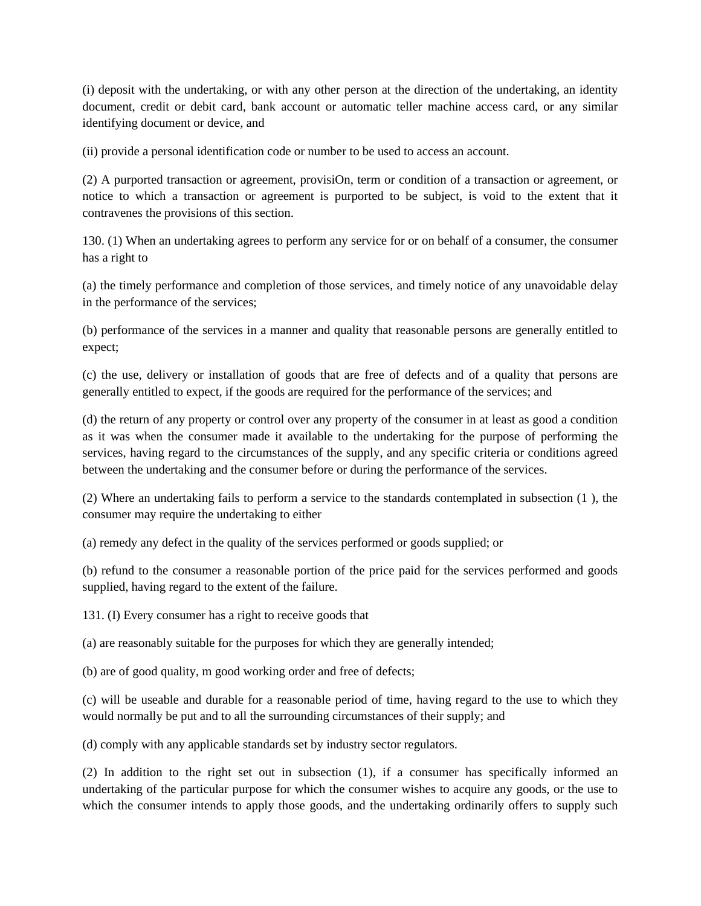(i) deposit with the undertaking, or with any other person at the direction of the undertaking, an identity document, credit or debit card, bank account or automatic teller machine access card, or any similar identifying document or device, and

(ii) provide a personal identification code or number to be used to access an account.

(2) A purported transaction or agreement, provisiOn, term or condition of a transaction or agreement, or notice to which a transaction or agreement is purported to be subject, is void to the extent that it contravenes the provisions of this section.

130. (1) When an undertaking agrees to perform any service for or on behalf of a consumer, the consumer has a right to

(a) the timely performance and completion of those services, and timely notice of any unavoidable delay in the performance of the services;

(b) performance of the services in a manner and quality that reasonable persons are generally entitled to expect;

(c) the use, delivery or installation of goods that are free of defects and of a quality that persons are generally entitled to expect, if the goods are required for the performance of the services; and

(d) the return of any property or control over any property of the consumer in at least as good a condition as it was when the consumer made it available to the undertaking for the purpose of performing the services, having regard to the circumstances of the supply, and any specific criteria or conditions agreed between the undertaking and the consumer before or during the performance of the services.

(2) Where an undertaking fails to perform a service to the standards contemplated in subsection (1 ), the consumer may require the undertaking to either

(a) remedy any defect in the quality of the services performed or goods supplied; or

(b) refund to the consumer a reasonable portion of the price paid for the services performed and goods supplied, having regard to the extent of the failure.

131. (I) Every consumer has a right to receive goods that

(a) are reasonably suitable for the purposes for which they are generally intended;

(b) are of good quality, m good working order and free of defects;

(c) will be useable and durable for a reasonable period of time, having regard to the use to which they would normally be put and to all the surrounding circumstances of their supply; and

(d) comply with any applicable standards set by industry sector regulators.

(2) In addition to the right set out in subsection (1), if a consumer has specifically informed an undertaking of the particular purpose for which the consumer wishes to acquire any goods, or the use to which the consumer intends to apply those goods, and the undertaking ordinarily offers to supply such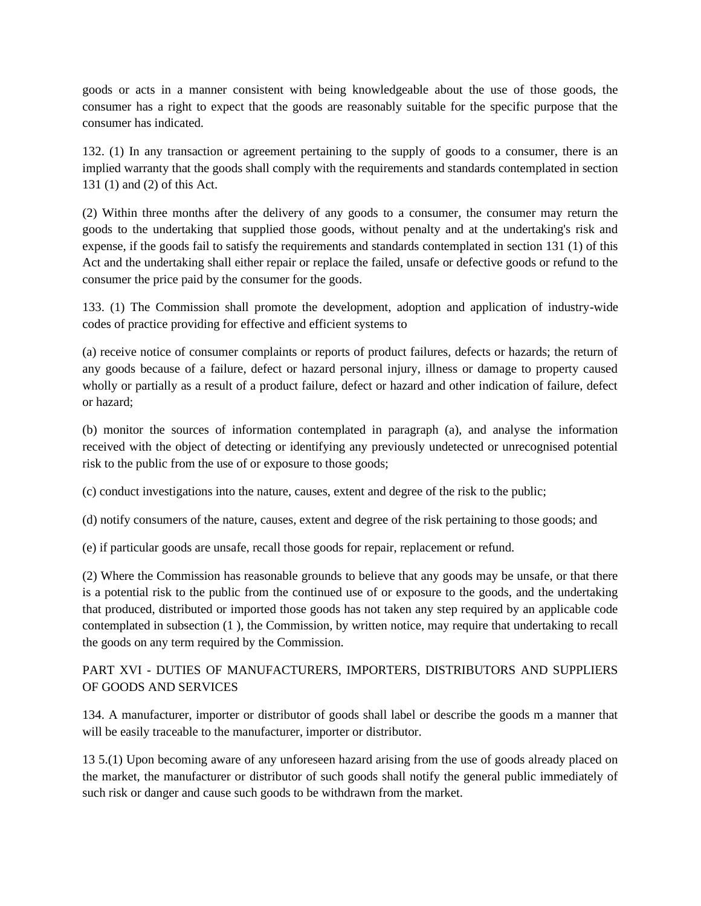goods or acts in a manner consistent with being knowledgeable about the use of those goods, the consumer has a right to expect that the goods are reasonably suitable for the specific purpose that the consumer has indicated.

132. (1) In any transaction or agreement pertaining to the supply of goods to a consumer, there is an implied warranty that the goods shall comply with the requirements and standards contemplated in section 131 (1) and (2) of this Act.

(2) Within three months after the delivery of any goods to a consumer, the consumer may return the goods to the undertaking that supplied those goods, without penalty and at the undertaking's risk and expense, if the goods fail to satisfy the requirements and standards contemplated in section 131 (1) of this Act and the undertaking shall either repair or replace the failed, unsafe or defective goods or refund to the consumer the price paid by the consumer for the goods.

133. (1) The Commission shall promote the development, adoption and application of industry-wide codes of practice providing for effective and efficient systems to

(a) receive notice of consumer complaints or reports of product failures, defects or hazards; the return of any goods because of a failure, defect or hazard personal injury, illness or damage to property caused wholly or partially as a result of a product failure, defect or hazard and other indication of failure, defect or hazard;

(b) monitor the sources of information contemplated in paragraph (a), and analyse the information received with the object of detecting or identifying any previously undetected or unrecognised potential risk to the public from the use of or exposure to those goods;

(c) conduct investigations into the nature, causes, extent and degree of the risk to the public;

(d) notify consumers of the nature, causes, extent and degree of the risk pertaining to those goods; and

(e) if particular goods are unsafe, recall those goods for repair, replacement or refund.

(2) Where the Commission has reasonable grounds to believe that any goods may be unsafe, or that there is a potential risk to the public from the continued use of or exposure to the goods, and the undertaking that produced, distributed or imported those goods has not taken any step required by an applicable code contemplated in subsection (1 ), the Commission, by written notice, may require that undertaking to recall the goods on any term required by the Commission.

# PART XVI - DUTIES OF MANUFACTURERS, IMPORTERS, DISTRIBUTORS AND SUPPLIERS OF GOODS AND SERVICES

134. A manufacturer, importer or distributor of goods shall label or describe the goods m a manner that will be easily traceable to the manufacturer, importer or distributor.

13 5.(1) Upon becoming aware of any unforeseen hazard arising from the use of goods already placed on the market, the manufacturer or distributor of such goods shall notify the general public immediately of such risk or danger and cause such goods to be withdrawn from the market.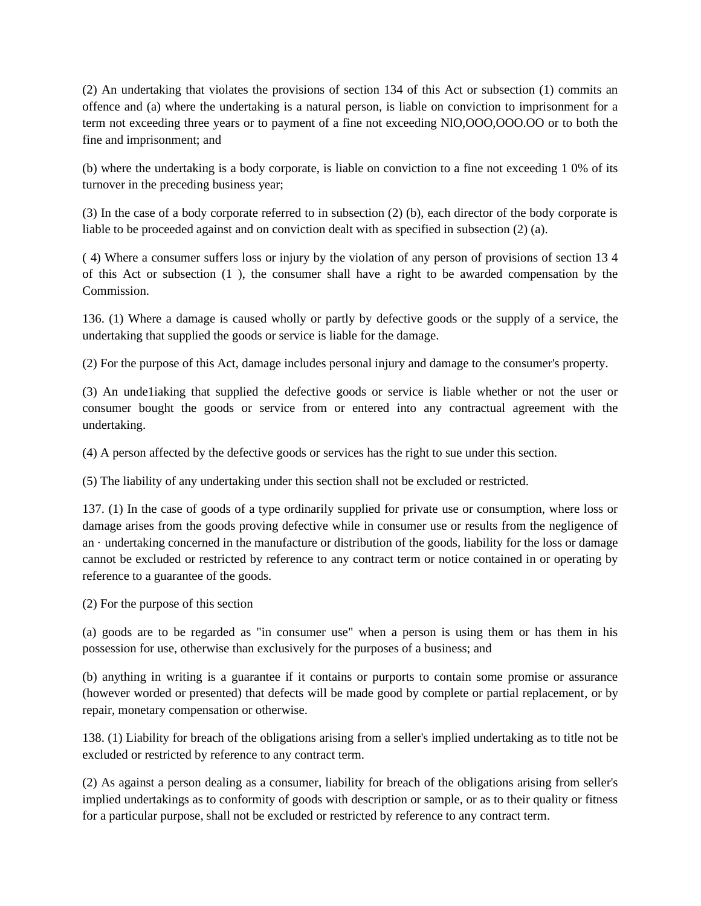(2) An undertaking that violates the provisions of section 134 of this Act or subsection (1) commits an offence and (a) where the undertaking is a natural person, is liable on conviction to imprisonment for a term not exceeding three years or to payment of a fine not exceeding NlO,OOO,OOO.OO or to both the fine and imprisonment; and

(b) where the undertaking is a body corporate, is liable on conviction to a fine not exceeding 1 0% of its turnover in the preceding business year;

(3) In the case of a body corporate referred to in subsection (2) (b), each director of the body corporate is liable to be proceeded against and on conviction dealt with as specified in subsection (2) (a).

( 4) Where a consumer suffers loss or injury by the violation of any person of provisions of section 13 4 of this Act or subsection (1 ), the consumer shall have a right to be awarded compensation by the Commission.

136. (1) Where a damage is caused wholly or partly by defective goods or the supply of a service, the undertaking that supplied the goods or service is liable for the damage.

(2) For the purpose of this Act, damage includes personal injury and damage to the consumer's property.

(3) An unde1iaking that supplied the defective goods or service is liable whether or not the user or consumer bought the goods or service from or entered into any contractual agreement with the undertaking.

(4) A person affected by the defective goods or services has the right to sue under this section.

(5) The liability of any undertaking under this section shall not be excluded or restricted.

137. (1) In the case of goods of a type ordinarily supplied for private use or consumption, where loss or damage arises from the goods proving defective while in consumer use or results from the negligence of an · undertaking concerned in the manufacture or distribution of the goods, liability for the loss or damage cannot be excluded or restricted by reference to any contract term or notice contained in or operating by reference to a guarantee of the goods.

(2) For the purpose of this section

(a) goods are to be regarded as "in consumer use" when a person is using them or has them in his possession for use, otherwise than exclusively for the purposes of a business; and

(b) anything in writing is a guarantee if it contains or purports to contain some promise or assurance (however worded or presented) that defects will be made good by complete or partial replacement, or by repair, monetary compensation or otherwise.

138. (1) Liability for breach of the obligations arising from a seller's implied undertaking as to title not be excluded or restricted by reference to any contract term.

(2) As against a person dealing as a consumer, liability for breach of the obligations arising from seller's implied undertakings as to conformity of goods with description or sample, or as to their quality or fitness for a particular purpose, shall not be excluded or restricted by reference to any contract term.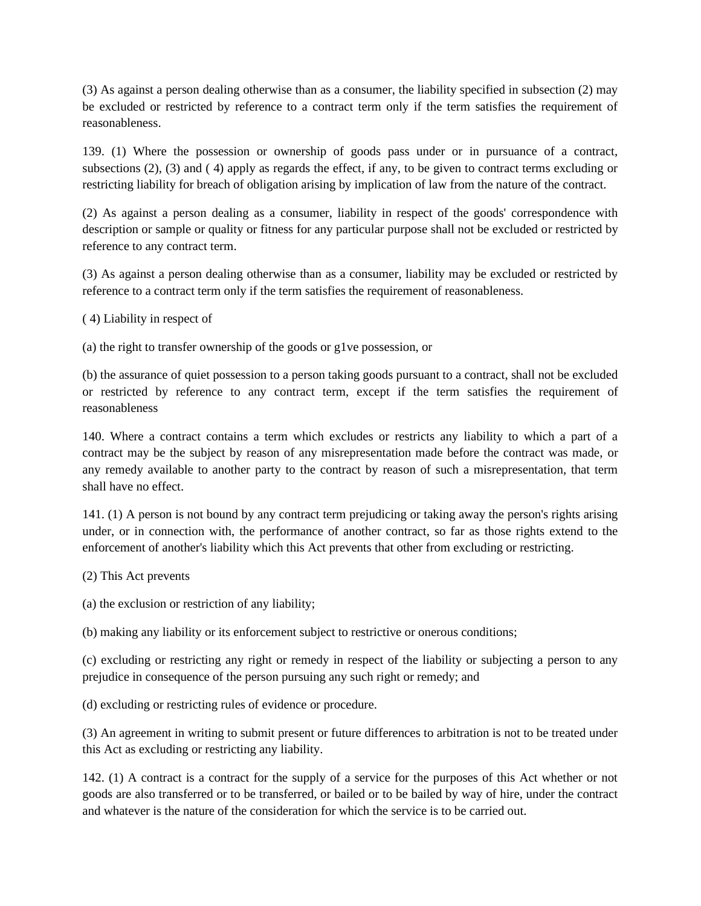(3) As against a person dealing otherwise than as a consumer, the liability specified in subsection (2) may be excluded or restricted by reference to a contract term only if the term satisfies the requirement of reasonableness.

139. (1) Where the possession or ownership of goods pass under or in pursuance of a contract, subsections (2), (3) and ( 4) apply as regards the effect, if any, to be given to contract terms excluding or restricting liability for breach of obligation arising by implication of law from the nature of the contract.

(2) As against a person dealing as a consumer, liability in respect of the goods' correspondence with description or sample or quality or fitness for any particular purpose shall not be excluded or restricted by reference to any contract term.

(3) As against a person dealing otherwise than as a consumer, liability may be excluded or restricted by reference to a contract term only if the term satisfies the requirement of reasonableness.

( 4) Liability in respect of

(a) the right to transfer ownership of the goods or g1ve possession, or

(b) the assurance of quiet possession to a person taking goods pursuant to a contract, shall not be excluded or restricted by reference to any contract term, except if the term satisfies the requirement of reasonableness

140. Where a contract contains a term which excludes or restricts any liability to which a part of a contract may be the subject by reason of any misrepresentation made before the contract was made, or any remedy available to another party to the contract by reason of such a misrepresentation, that term shall have no effect.

141. (1) A person is not bound by any contract term prejudicing or taking away the person's rights arising under, or in connection with, the performance of another contract, so far as those rights extend to the enforcement of another's liability which this Act prevents that other from excluding or restricting.

(2) This Act prevents

(a) the exclusion or restriction of any liability;

(b) making any liability or its enforcement subject to restrictive or onerous conditions;

(c) excluding or restricting any right or remedy in respect of the liability or subjecting a person to any prejudice in consequence of the person pursuing any such right or remedy; and

(d) excluding or restricting rules of evidence or procedure.

(3) An agreement in writing to submit present or future differences to arbitration is not to be treated under this Act as excluding or restricting any liability.

142. (1) A contract is a contract for the supply of a service for the purposes of this Act whether or not goods are also transferred or to be transferred, or bailed or to be bailed by way of hire, under the contract and whatever is the nature of the consideration for which the service is to be carried out.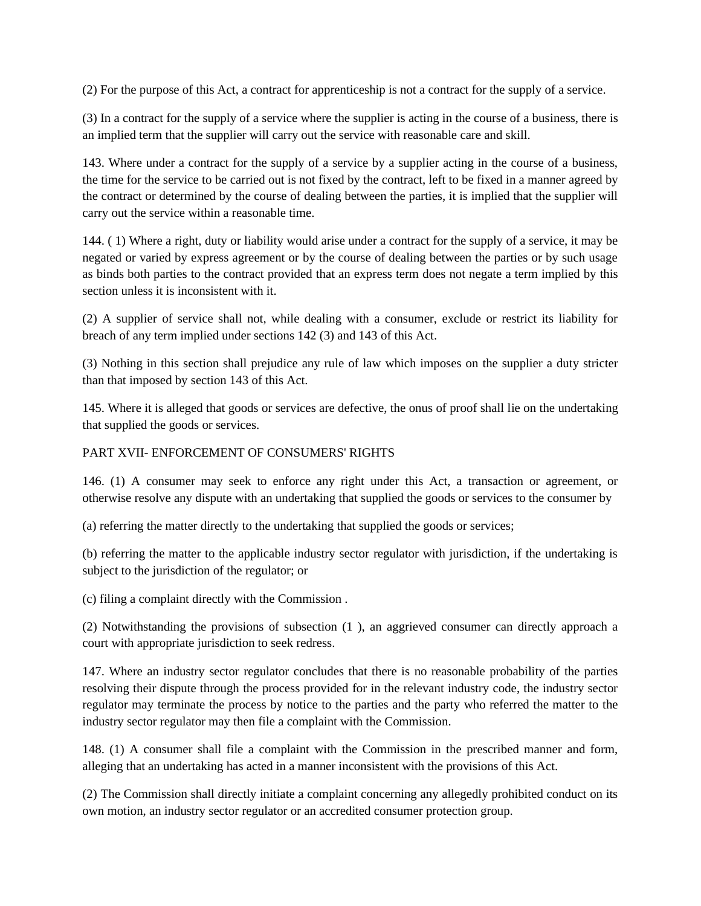(2) For the purpose of this Act, a contract for apprenticeship is not a contract for the supply of a service.

(3) In a contract for the supply of a service where the supplier is acting in the course of a business, there is an implied term that the supplier will carry out the service with reasonable care and skill.

143. Where under a contract for the supply of a service by a supplier acting in the course of a business, the time for the service to be carried out is not fixed by the contract, left to be fixed in a manner agreed by the contract or determined by the course of dealing between the parties, it is implied that the supplier will carry out the service within a reasonable time.

144. ( 1) Where a right, duty or liability would arise under a contract for the supply of a service, it may be negated or varied by express agreement or by the course of dealing between the parties or by such usage as binds both parties to the contract provided that an express term does not negate a term implied by this section unless it is inconsistent with it.

(2) A supplier of service shall not, while dealing with a consumer, exclude or restrict its liability for breach of any term implied under sections 142 (3) and 143 of this Act.

(3) Nothing in this section shall prejudice any rule of law which imposes on the supplier a duty stricter than that imposed by section 143 of this Act.

145. Where it is alleged that goods or services are defective, the onus of proof shall lie on the undertaking that supplied the goods or services.

### PART XVII- ENFORCEMENT OF CONSUMERS' RIGHTS

146. (1) A consumer may seek to enforce any right under this Act, a transaction or agreement, or otherwise resolve any dispute with an undertaking that supplied the goods or services to the consumer by

(a) referring the matter directly to the undertaking that supplied the goods or services;

(b) referring the matter to the applicable industry sector regulator with jurisdiction, if the undertaking is subject to the jurisdiction of the regulator; or

(c) filing a complaint directly with the Commission .

(2) Notwithstanding the provisions of subsection (1 ), an aggrieved consumer can directly approach a court with appropriate jurisdiction to seek redress.

147. Where an industry sector regulator concludes that there is no reasonable probability of the parties resolving their dispute through the process provided for in the relevant industry code, the industry sector regulator may terminate the process by notice to the parties and the party who referred the matter to the industry sector regulator may then file a complaint with the Commission.

148. (1) A consumer shall file a complaint with the Commission in the prescribed manner and form, alleging that an undertaking has acted in a manner inconsistent with the provisions of this Act.

(2) The Commission shall directly initiate a complaint concerning any allegedly prohibited conduct on its own motion, an industry sector regulator or an accredited consumer protection group.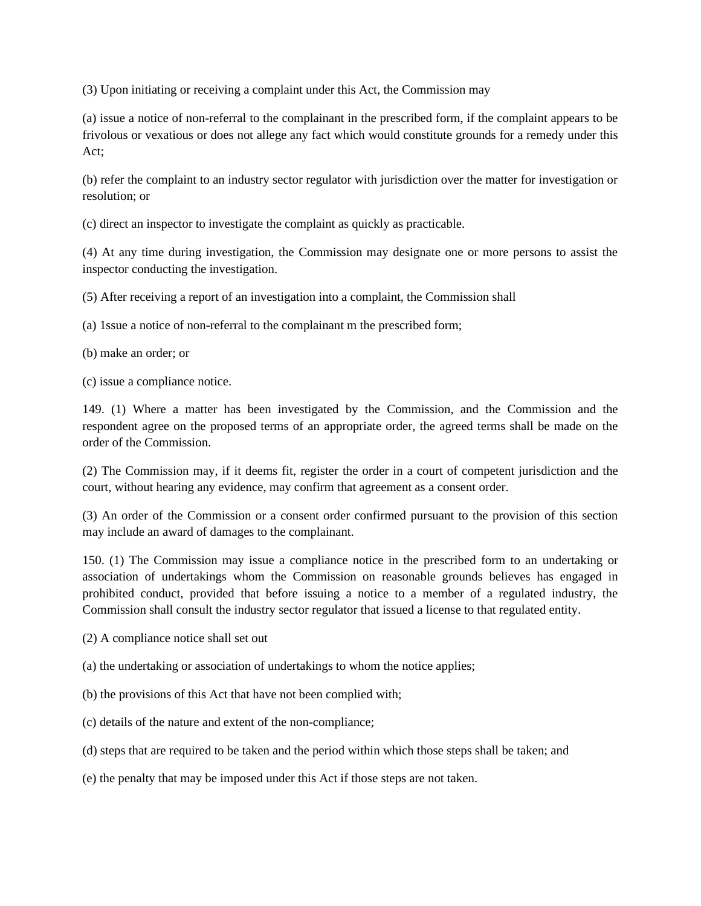(3) Upon initiating or receiving a complaint under this Act, the Commission may

(a) issue a notice of non-referral to the complainant in the prescribed form, if the complaint appears to be frivolous or vexatious or does not allege any fact which would constitute grounds for a remedy under this Act;

(b) refer the complaint to an industry sector regulator with jurisdiction over the matter for investigation or resolution; or

(c) direct an inspector to investigate the complaint as quickly as practicable.

(4) At any time during investigation, the Commission may designate one or more persons to assist the inspector conducting the investigation.

(5) After receiving a report of an investigation into a complaint, the Commission shall

(a) 1ssue a notice of non-referral to the complainant m the prescribed form;

(b) make an order; or

(c) issue a compliance notice.

149. (1) Where a matter has been investigated by the Commission, and the Commission and the respondent agree on the proposed terms of an appropriate order, the agreed terms shall be made on the order of the Commission.

(2) The Commission may, if it deems fit, register the order in a court of competent jurisdiction and the court, without hearing any evidence, may confirm that agreement as a consent order.

(3) An order of the Commission or a consent order confirmed pursuant to the provision of this section may include an award of damages to the complainant.

150. (1) The Commission may issue a compliance notice in the prescribed form to an undertaking or association of undertakings whom the Commission on reasonable grounds believes has engaged in prohibited conduct, provided that before issuing a notice to a member of a regulated industry, the Commission shall consult the industry sector regulator that issued a license to that regulated entity.

(2) A compliance notice shall set out

(a) the undertaking or association of undertakings to whom the notice applies;

(b) the provisions of this Act that have not been complied with;

(c) details of the nature and extent of the non-compliance;

(d) steps that are required to be taken and the period within which those steps shall be taken; and

(e) the penalty that may be imposed under this Act if those steps are not taken.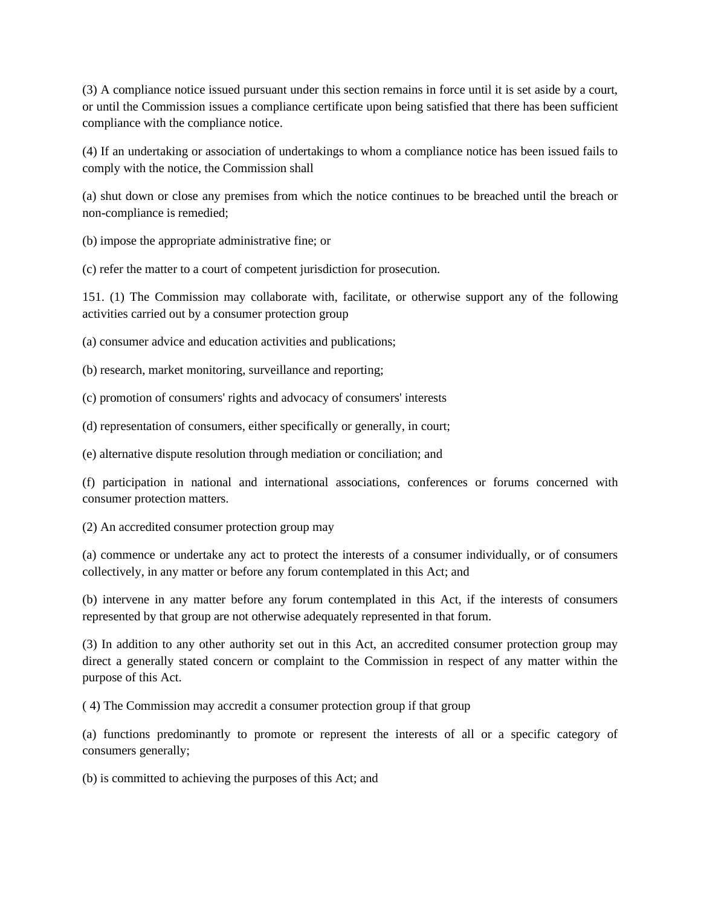(3) A compliance notice issued pursuant under this section remains in force until it is set aside by a court, or until the Commission issues a compliance certificate upon being satisfied that there has been sufficient compliance with the compliance notice.

(4) If an undertaking or association of undertakings to whom a compliance notice has been issued fails to comply with the notice, the Commission shall

(a) shut down or close any premises from which the notice continues to be breached until the breach or non-compliance is remedied;

(b) impose the appropriate administrative fine; or

(c) refer the matter to a court of competent jurisdiction for prosecution.

151. (1) The Commission may collaborate with, facilitate, or otherwise support any of the following activities carried out by a consumer protection group

(a) consumer advice and education activities and publications;

(b) research, market monitoring, surveillance and reporting;

(c) promotion of consumers' rights and advocacy of consumers' interests

(d) representation of consumers, either specifically or generally, in court;

(e) alternative dispute resolution through mediation or conciliation; and

(f) participation in national and international associations, conferences or forums concerned with consumer protection matters.

(2) An accredited consumer protection group may

(a) commence or undertake any act to protect the interests of a consumer individually, or of consumers collectively, in any matter or before any forum contemplated in this Act; and

(b) intervene in any matter before any forum contemplated in this Act, if the interests of consumers represented by that group are not otherwise adequately represented in that forum.

(3) In addition to any other authority set out in this Act, an accredited consumer protection group may direct a generally stated concern or complaint to the Commission in respect of any matter within the purpose of this Act.

( 4) The Commission may accredit a consumer protection group if that group

(a) functions predominantly to promote or represent the interests of all or a specific category of consumers generally;

(b) is committed to achieving the purposes of this Act; and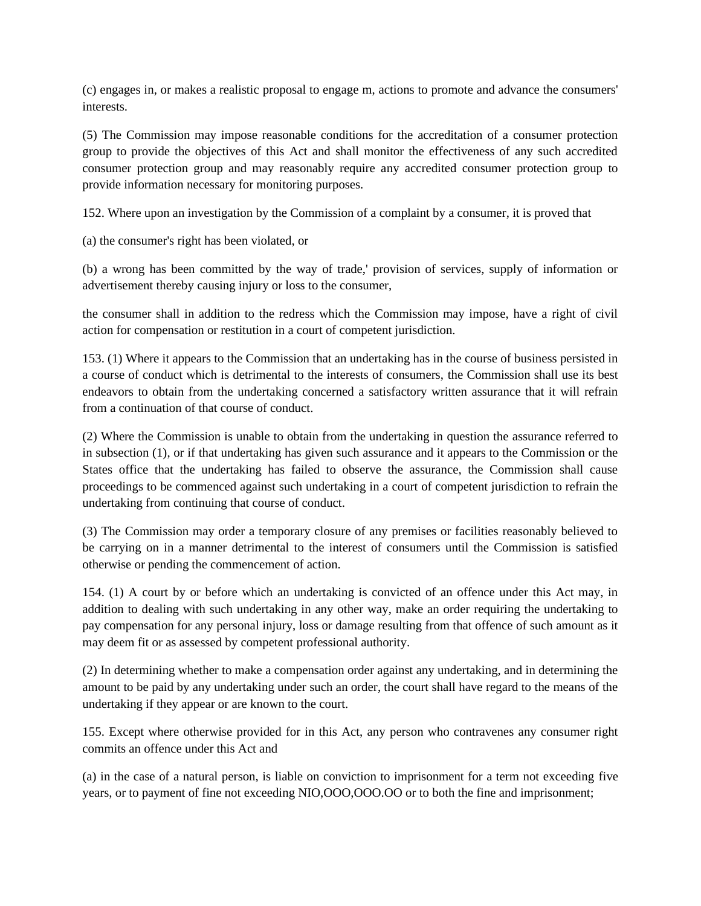(c) engages in, or makes a realistic proposal to engage m, actions to promote and advance the consumers' interests.

(5) The Commission may impose reasonable conditions for the accreditation of a consumer protection group to provide the objectives of this Act and shall monitor the effectiveness of any such accredited consumer protection group and may reasonably require any accredited consumer protection group to provide information necessary for monitoring purposes.

152. Where upon an investigation by the Commission of a complaint by a consumer, it is proved that

(a) the consumer's right has been violated, or

(b) a wrong has been committed by the way of trade,' provision of services, supply of information or advertisement thereby causing injury or loss to the consumer,

the consumer shall in addition to the redress which the Commission may impose, have a right of civil action for compensation or restitution in a court of competent jurisdiction.

153. (1) Where it appears to the Commission that an undertaking has in the course of business persisted in a course of conduct which is detrimental to the interests of consumers, the Commission shall use its best endeavors to obtain from the undertaking concerned a satisfactory written assurance that it will refrain from a continuation of that course of conduct.

(2) Where the Commission is unable to obtain from the undertaking in question the assurance referred to in subsection (1), or if that undertaking has given such assurance and it appears to the Commission or the States office that the undertaking has failed to observe the assurance, the Commission shall cause proceedings to be commenced against such undertaking in a court of competent jurisdiction to refrain the undertaking from continuing that course of conduct.

(3) The Commission may order a temporary closure of any premises or facilities reasonably believed to be carrying on in a manner detrimental to the interest of consumers until the Commission is satisfied otherwise or pending the commencement of action.

154. (1) A court by or before which an undertaking is convicted of an offence under this Act may, in addition to dealing with such undertaking in any other way, make an order requiring the undertaking to pay compensation for any personal injury, loss or damage resulting from that offence of such amount as it may deem fit or as assessed by competent professional authority.

(2) In determining whether to make a compensation order against any undertaking, and in determining the amount to be paid by any undertaking under such an order, the court shall have regard to the means of the undertaking if they appear or are known to the court.

155. Except where otherwise provided for in this Act, any person who contravenes any consumer right commits an offence under this Act and

(a) in the case of a natural person, is liable on conviction to imprisonment for a term not exceeding five years, or to payment of fine not exceeding NIO,OOO,OOO.OO or to both the fine and imprisonment;